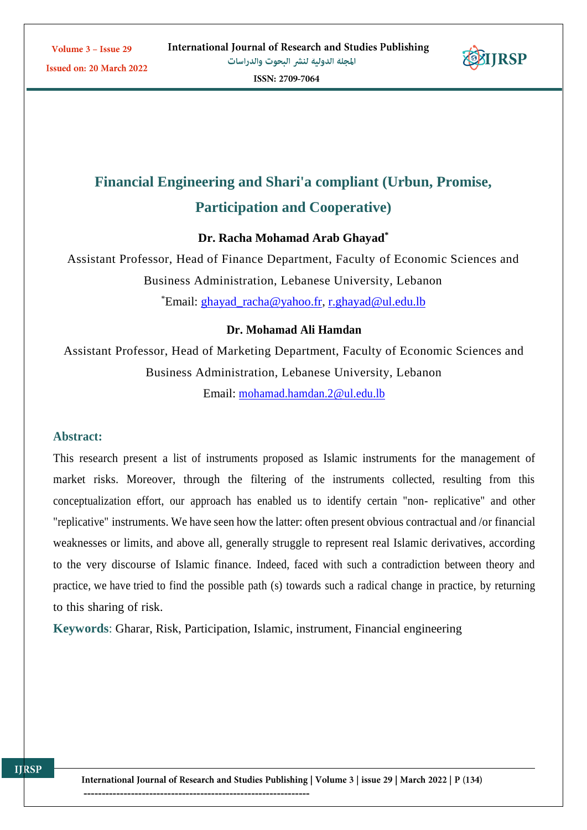

# **Financial Engineering and Shari'a compliant (Urbun, Promise, Participation and Cooperative)**

## **Dr. Racha Mohamad Arab Ghayad\***

Assistant Professor, Head of Finance Department, Faculty of Economic Sciences and Business Administration, Lebanese University, Lebanon \*Email: [ghayad\\_racha@yahoo.fr,](mailto:ghayad_racha@yahoo.fr) [r.ghayad@ul.edu.lb](mailto:r.ghayad@ul.edu.lb)

## **Dr. Mohamad Ali Hamdan**

Assistant Professor, Head of Marketing Department, Faculty of Economic Sciences and Business Administration, Lebanese University, Lebanon Email: [mohamad.hamdan.2@ul.edu.lb](mailto:mohamad.hamdan.2@ul.edu.lb)

### **Abstract:**

Volume 3 - Issue 29

Issued on: 20 March 2022

This research present a list of instruments proposed as Islamic instruments for the management of market risks. Moreover, through the filtering of the instruments collected, resulting from this conceptualization effort, our approach has enabled us to identify certain "non- replicative" and other "replicative" instruments. We have seen how the latter: often present obvious contractual and /or financial weaknesses or limits, and above all, generally struggle to represent real Islamic derivatives, according to the very discourse of Islamic finance. Indeed, faced with such a contradiction between theory and practice, we have tried to find the possible path (s) towards such a radical change in practice, by returning to this sharing of risk.

**Keywords**: Gharar, Risk, Participation, Islamic, instrument, Financial engineering

--------------------------------------------------------------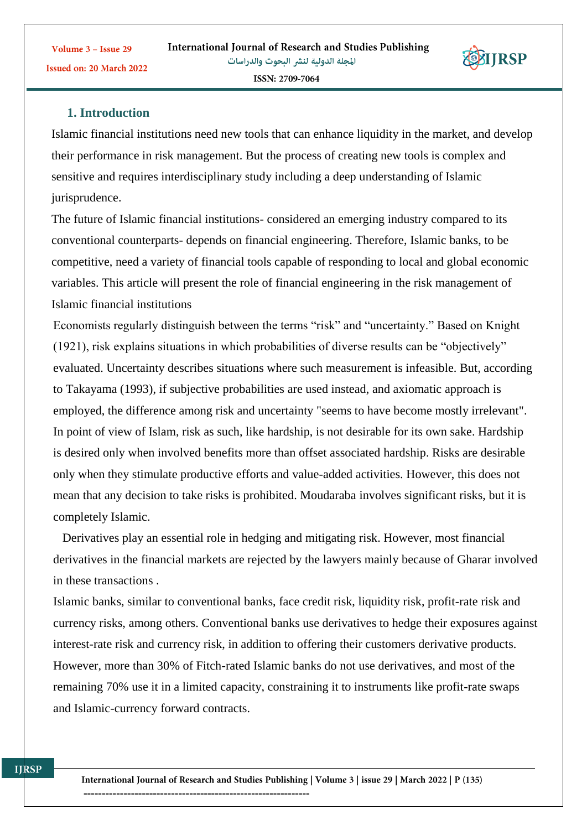## **1. Introduction**

Islamic financial institutions need new tools that can enhance liquidity in the market, and develop their performance in risk management. But the process of creating new tools is complex and sensitive and requires interdisciplinary study including a deep understanding of Islamic jurisprudence.

The future of Islamic financial institutions- considered an emerging industry compared to its conventional counterparts- depends on financial engineering. Therefore, Islamic banks, to be competitive, need a variety of financial tools capable of responding to local and global economic variables. This article will present the role of financial engineering in the risk management of Islamic financial institutions

Economists regularly distinguish between the terms "risk" and "uncertainty." Based on Knight (1921), risk explains situations in which probabilities of diverse results can be "objectively" evaluated. Uncertainty describes situations where such measurement is infeasible. But, according to Takayama (1993), if subjective probabilities are used instead, and axiomatic approach is employed, the difference among risk and uncertainty "seems to have become mostly irrelevant". In point of view of Islam, risk as such, like hardship, is not desirable for its own sake. Hardship is desired only when involved benefits more than offset associated hardship. Risks are desirable only when they stimulate productive efforts and value-added activities. However, this does not mean that any decision to take risks is prohibited. Moudaraba involves significant risks, but it is completely Islamic.

 Derivatives play an essential role in hedging and mitigating risk. However, most financial derivatives in the financial markets are rejected by the lawyers mainly because of Gharar involved in these transactions .

Islamic banks, similar to conventional banks, face credit risk, liquidity risk, profit-rate risk and currency risks, among others. Conventional banks use derivatives to hedge their exposures against interest-rate risk and currency risk, in addition to offering their customers derivative products. However, more than 30% of Fitch-rated Islamic banks do not use derivatives, and most of the remaining 70% use it in a limited capacity, constraining it to instruments like profit-rate swaps and Islamic-currency forward contracts.

International Journal of Research and Studies Publishing | Volume 3 | issue 29 | March 2022 | P (135) --------------------------------------------------------------



Volume 3 - Issue 29 Issued on: 20 March 2022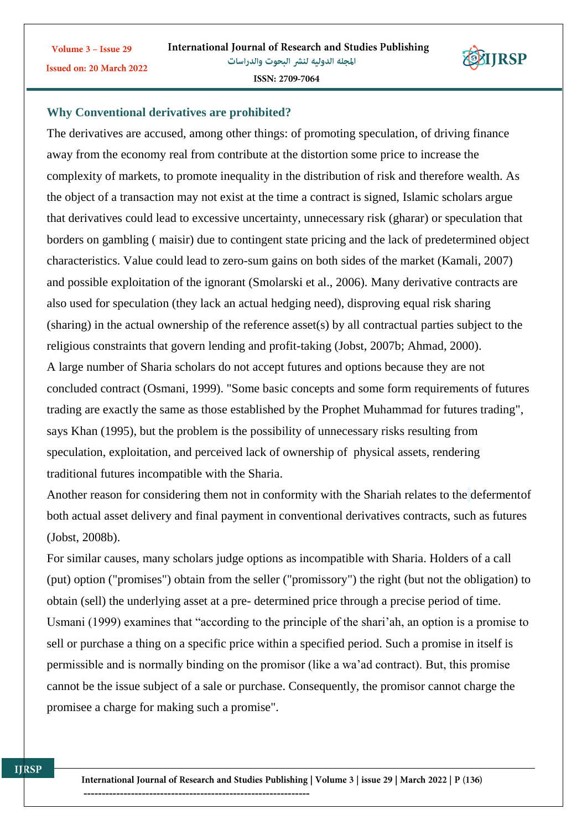

**Why Conventional derivatives are prohibited?**

Volume 3 - Issue 29

Issued on: 20 March 2022

The derivatives are accused, among other things: of promoting speculation, of driving finance away from the economy real from contribute at the distortion some price to increase the complexity of markets, to promote inequality in the distribution of risk and therefore wealth. As the object of a transaction may not exist at the time a contract is signed, Islamic scholars argue that derivatives could lead to excessive uncertainty, unnecessary risk (gharar) or speculation that borders on gambling ( maisir) due to contingent state pricing and the lack of predetermined object characteristics. Value could lead to zero-sum gains on both sides of the market (Kamali, 2007) and possible exploitation of the ignorant (Smolarski et al., 2006). Many derivative contracts are also used for speculation (they lack an actual hedging need), disproving equal risk sharing (sharing) in the actual ownership of the reference asset(s) by all contractual parties subject to the religious constraints that govern lending and profit-taking (Jobst, 2007b; Ahmad, 2000). A large number of Sharia scholars do not accept futures and options because they are not concluded contract (Osmani, 1999). "Some basic concepts and some form requirements of futures trading are exactly the same as those established by the Prophet Muhammad for futures trading", says Khan (1995), but the problem is the possibility of unnecessary risks resulting from speculation, exploitation, and perceived lack of ownership of physical assets, rendering traditional futures incompatible with the Sharia.

Another reason for considering them not in conformity with the Shariah relates to the defermentof both actual asset delivery and final payment in conventional derivatives contracts, such as futures (Jobst, 2008b).

For similar causes, many scholars judge options as incompatible with Sharia. Holders of a call (put) option ("promises") obtain from the seller ("promissory") the right (but not the obligation) to obtain (sell) the underlying asset at a pre- determined price through a precise period of time. Usmani (1999) examines that "according to the principle of the shari'ah, an option is a promise to sell or purchase a thing on a specific price within a specified period. Such a promise in itself is permissible and is normally binding on the promisor (like a wa'ad contract). But, this promise cannot be the issue subject of a sale or purchase. Consequently, the promisor cannot charge the promisee a charge for making such a promise".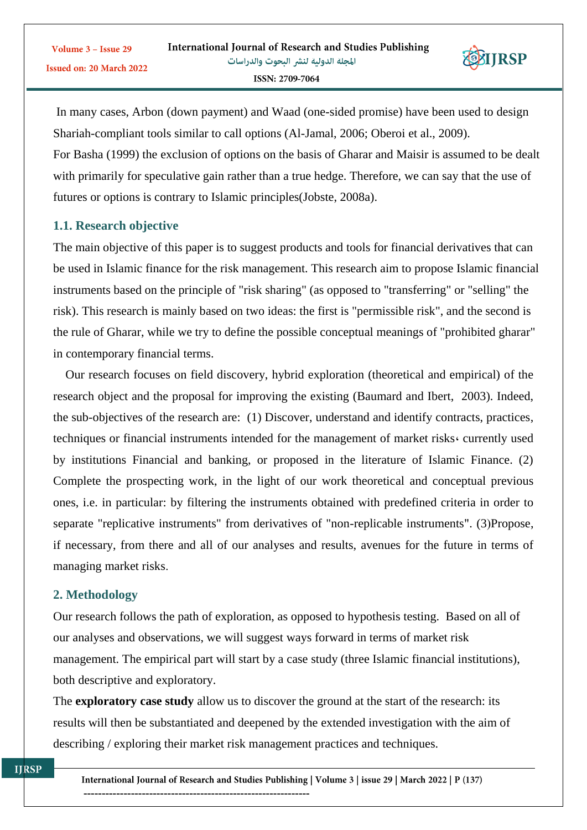**SIIRSP** 

In many cases, Arbon (down payment) and Waad (one-sided promise) have been used to design Shariah-compliant tools similar to call options (Al-Jamal, 2006; Oberoi et al., 2009).

For Basha (1999) the exclusion of options on the basis of Gharar and Maisir is assumed to be dealt with primarily for speculative gain rather than a true hedge. Therefore, we can say that the use of futures or options is contrary to Islamic principles(Jobste, 2008a).

## **1.1. Research objective**

The main objective of this paper is to suggest products and tools for financial derivatives that can be used in Islamic finance for the risk management. This research aim to propose Islamic financial instruments based on the principle of "risk sharing" (as opposed to "transferring" or "selling" the risk). This research is mainly based on two ideas: the first is "permissible risk", and the second is the rule of Gharar, while we try to define the possible conceptual meanings of "prohibited gharar" in contemporary financial terms.

 Our research focuses on field discovery, hybrid exploration (theoretical and empirical) of the research object and the proposal for improving the existing (Baumard and Ibert, 2003). Indeed, the sub-objectives of the research are: (1) Discover, understand and identify contracts, practices, techniques or financial instruments intended for the management of market risks, currently used by institutions Financial and banking, or proposed in the literature of Islamic Finance. (2) Complete the prospecting work, in the light of our work theoretical and conceptual previous ones, i.e. in particular: by filtering the instruments obtained with predefined criteria in order to separate "replicative instruments" from derivatives of "non-replicable instruments". (3)Propose, if necessary, from there and all of our analyses and results, avenues for the future in terms of managing market risks.

## **2. Methodology**

Our research follows the path of exploration, as opposed to hypothesis testing. Based on all of our analyses and observations, we will suggest ways forward in terms of market risk management. The empirical part will start by a case study (three Islamic financial institutions), both descriptive and exploratory.

The **exploratory case study** allow us to discover the ground at the start of the research: its results will then be substantiated and deepened by the extended investigation with the aim of describing / exploring their market risk management practices and techniques.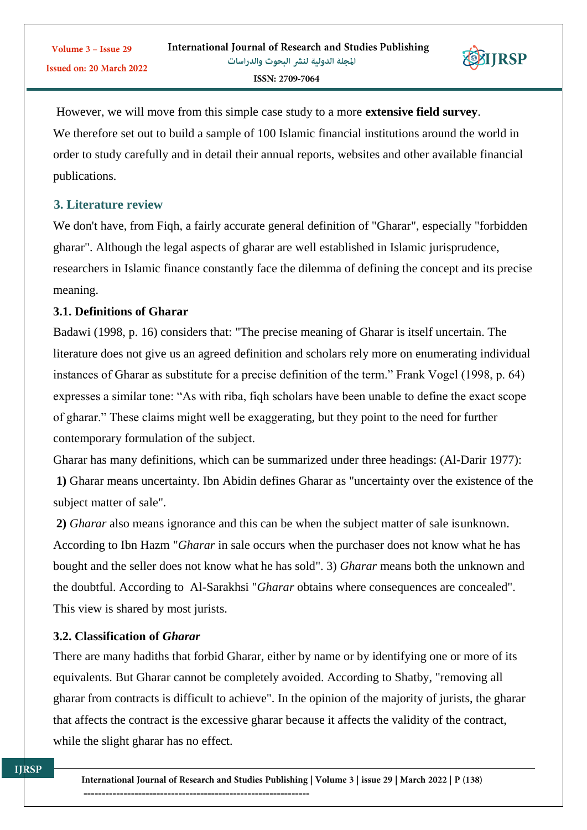

However, we will move from this simple case study to a more **extensive field survey**. We therefore set out to build a sample of 100 Islamic financial institutions around the world in order to study carefully and in detail their annual reports, websites and other available financial publications.

## **3. Literature review**

Volume 3 - Issue 29

We don't have, from Fiqh, a fairly accurate general definition of "Gharar", especially "forbidden gharar". Although the legal aspects of gharar are well established in Islamic jurisprudence, researchers in Islamic finance constantly face the dilemma of defining the concept and its precise meaning.

## **3.1. Definitions of Gharar**

Badawi (1998, p. 16) considers that: "The precise meaning of Gharar is itself uncertain. The literature does not give us an agreed definition and scholars rely more on enumerating individual instances of Gharar as substitute for a precise definition of the term." Frank Vogel (1998, p. 64) expresses a similar tone: "As with riba, fiqh scholars have been unable to define the exact scope of gharar." These claims might well be exaggerating, but they point to the need for further contemporary formulation of the subject.

Gharar has many definitions, which can be summarized under three headings: (Al-Darir 1977): **1)** Gharar means uncertainty. Ibn Abidin defines Gharar as "uncertainty over the existence of the subject matter of sale".

**2)** *Gharar* also means ignorance and this can be when the subject matter of sale isunknown. According to Ibn Hazm "*Gharar* in sale occurs when the purchaser does not know what he has bought and the seller does not know what he has sold". 3) *Gharar* means both the unknown and the doubtful. According to Al-Sarakhsi "*Gharar* obtains where consequences are concealed". This view is shared by most jurists.

## **3.2. Classification of** *Gharar*

There are many hadiths that forbid Gharar, either by name or by identifying one or more of its equivalents. But Gharar cannot be completely avoided. According to Shatby, "removing all gharar from contracts is difficult to achieve". In the opinion of the majority of jurists, the gharar that affects the contract is the excessive gharar because it affects the validity of the contract, while the slight gharar has no effect.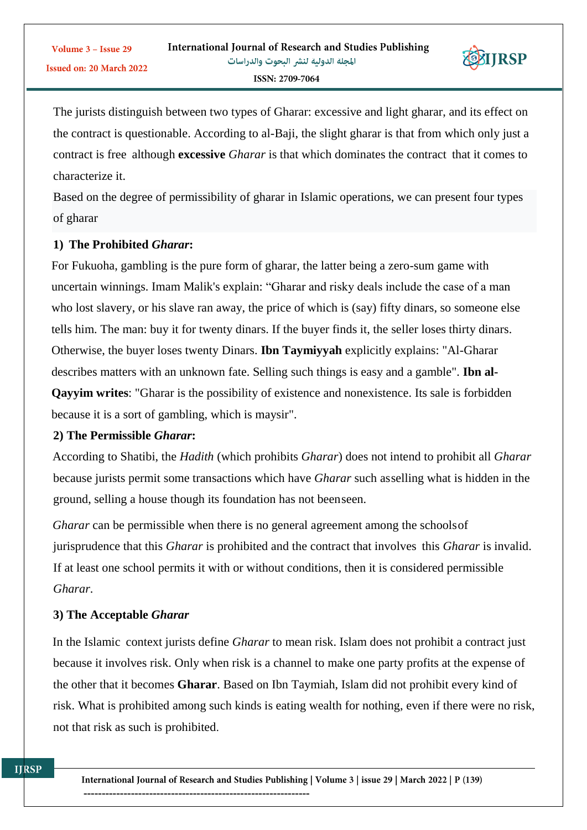

The jurists distinguish between two types of Gharar: excessive and light gharar, and its effect on the contract is questionable. According to al-Baji, the slight gharar is that from which only just a contract is free although **excessive** *Gharar* is that which dominates the contract that it comes to characterize it.

Based on the degree of permissibility of gharar in Islamic operations, we can present four types of gharar

## **1) The Prohibited** *Gharar***:**

For Fukuoha, gambling is the pure form of gharar, the latter being a zero-sum game with uncertain winnings. Imam Malik's explain: "Gharar and risky deals include the case of a man who lost slavery, or his slave ran away, the price of which is (say) fifty dinars, so someone else tells him. The man: buy it for twenty dinars. If the buyer finds it, the seller loses thirty dinars. Otherwise, the buyer loses twenty Dinars. **Ibn Taymiyyah** explicitly explains: "Al-Gharar describes matters with an unknown fate. Selling such things is easy and a gamble". **Ibn al-Qayyim writes**: "Gharar is the possibility of existence and nonexistence. Its sale is forbidden because it is a sort of gambling, which is maysir".

## **2) The Permissible** *Gharar***:**

According to Shatibi, the *Hadith* (which prohibits *Gharar*) does not intend to prohibit all *Gharar*  because jurists permit some transactions which have *Gharar* such asselling what is hidden in the ground, selling a house though its foundation has not beenseen.

*Gharar* can be permissible when there is no general agreement among the schools of jurisprudence that this *Gharar* is prohibited and the contract that involves this *Gharar* is invalid. If at least one school permits it with or without conditions, then it is considered permissible *Gharar*.

### **3) The Acceptable** *Gharar*

In the Islamic context jurists define *Gharar* to mean risk. Islam does not prohibit a contract just because it involves risk. Only when risk is a channel to make one party profits at the expense of the other that it becomes **Gharar**. Based on Ibn Taymiah, Islam did not prohibit every kind of risk. What is prohibited among such kinds is eating wealth for nothing, even if there were no risk, not that risk as such is prohibited.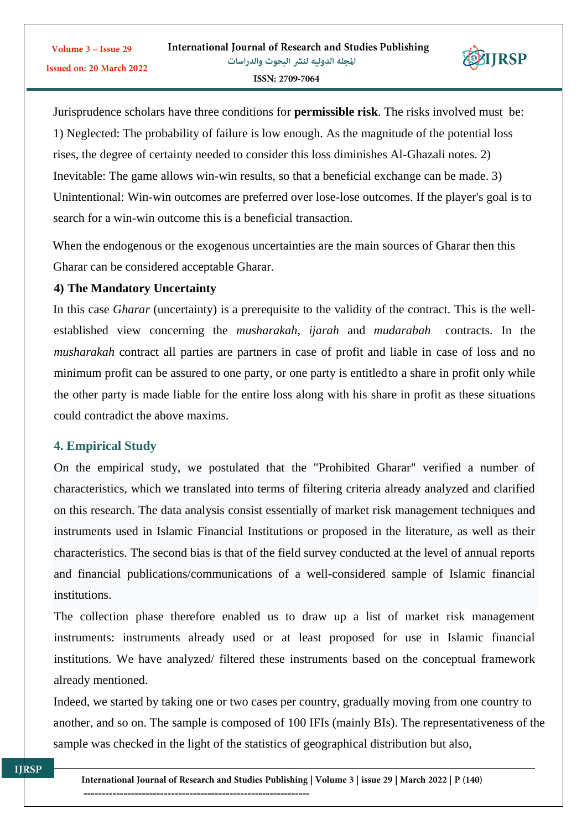

Jurisprudence scholars have three conditions for **permissible risk**. The risks involved must be: 1) Neglected: The probability of failure is low enough. As the magnitude of the potential loss rises, the degree of certainty needed to consider this loss diminishes Al-Ghazali notes. 2) Inevitable: The game allows win-win results, so that a beneficial exchange can be made. 3) Unintentional: Win-win outcomes are preferred over lose-lose outcomes. If the player's goal is to search for a win-win outcome this is a beneficial transaction.

When the endogenous or the exogenous uncertainties are the main sources of Gharar then this Gharar can be considered acceptable Gharar.

## **4) The Mandatory Uncertainty**

In this case *Gharar* (uncertainty) is a prerequisite to the validity of the contract. This is the wellestablished view concerning the *musharakah*, *ijarah* and *mudarabah* contracts. In the *musharakah* contract all parties are partners in case of profit and liable in case of loss and no minimum profit can be assured to one party, or one party is entitledto a share in profit only while the other party is made liable for the entire loss along with his share in profit as these situations could contradict the above maxims.

### **4. Empirical Study**

On the empirical study, we postulated that the "Prohibited Gharar" verified a number of characteristics, which we translated into terms of filtering criteria already analyzed and clarified on this research. The data analysis consist essentially of market risk management techniques and instruments used in Islamic Financial Institutions or proposed in the literature, as well as their characteristics. The second bias is that of the field survey conducted at the level of annual reports and financial publications/communications of a well-considered sample of Islamic financial institutions.

The collection phase therefore enabled us to draw up a list of market risk management instruments: instruments already used or at least proposed for use in Islamic financial institutions. We have analyzed/ filtered these instruments based on the conceptual framework already mentioned.

Indeed, we started by taking one or two cases per country, gradually moving from one country to another, and so on. The sample is composed of 100 IFIs (mainly BIs). The representativeness of the sample was checked in the light of the statistics of geographical distribution but also,

International Journal of Research and Studies Publishing | Volume 3 | issue 29 | March 2022 | P (140) --------------------------------------------------------------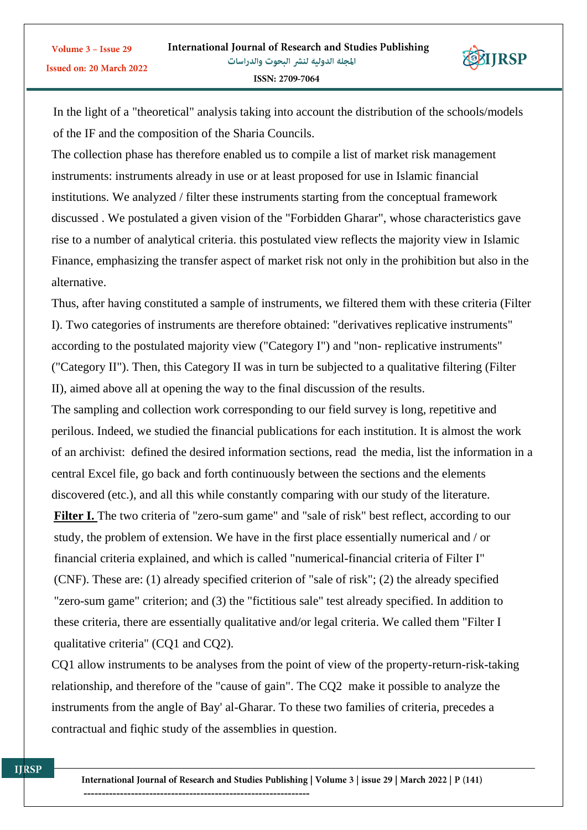Volume 3 - Issue 29

Issued on: 20 March 2022



In the light of a "theoretical" analysis taking into account the distribution of the schools/models of the IF and the composition of the Sharia Councils.

The collection phase has therefore enabled us to compile a list of market risk management instruments: instruments already in use or at least proposed for use in Islamic financial institutions. We analyzed / filter these instruments starting from the conceptual framework discussed . We postulated a given vision of the "Forbidden Gharar", whose characteristics gave rise to a number of analytical criteria. this postulated view reflects the majority view in Islamic Finance, emphasizing the transfer aspect of market risk not only in the prohibition but also in the alternative.

Thus, after having constituted a sample of instruments, we filtered them with these criteria (Filter I). Two categories of instruments are therefore obtained: "derivatives replicative instruments" according to the postulated majority view ("Category I") and "non- replicative instruments" ("Category II"). Then, this Category II was in turn be subjected to a qualitative filtering (Filter II), aimed above all at opening the way to the final discussion of the results.

The sampling and collection work corresponding to our field survey is long, repetitive and perilous. Indeed, we studied the financial publications for each institution. It is almost the work of an archivist: defined the desired information sections, read the media, list the information in a central Excel file, go back and forth continuously between the sections and the elements discovered (etc.), and all this while constantly comparing with our study of the literature.

Filter I. The two criteria of "zero-sum game" and "sale of risk" best reflect, according to our study, the problem of extension. We have in the first place essentially numerical and / or financial criteria explained, and which is called "numerical-financial criteria of Filter I" (CNF). These are: (1) already specified criterion of "sale of risk"; (2) the already specified "zero-sum game" criterion; and (3) the "fictitious sale" test already specified. In addition to these criteria, there are essentially qualitative and/or legal criteria. We called them "Filter I qualitative criteria" (CQ1 and CQ2).

CQ1 allow instruments to be analyses from the point of view of the property-return-risk-taking relationship, and therefore of the "cause of gain". The CQ2 make it possible to analyze the instruments from the angle of Bay' al-Gharar. To these two families of criteria, precedes a contractual and fiqhic study of the assemblies in question.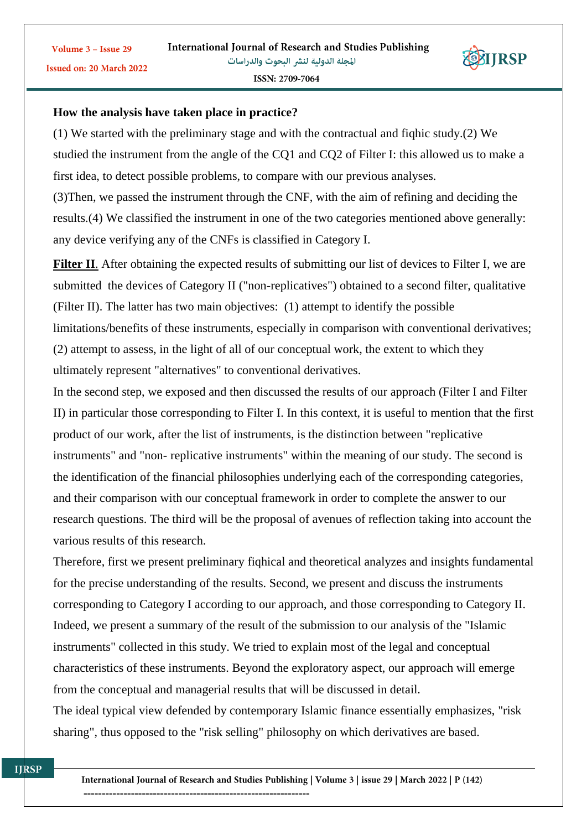

**How the analysis have taken place in practice?** 

Volume 3 - Issue 29

(1) We started with the preliminary stage and with the contractual and fiqhic study.(2) We studied the instrument from the angle of the CQ1 and CQ2 of Filter I: this allowed us to make a first idea, to detect possible problems, to compare with our previous analyses.

(3)Then, we passed the instrument through the CNF, with the aim of refining and deciding the results.(4) We classified the instrument in one of the two categories mentioned above generally: any device verifying any of the CNFs is classified in Category I.

Filter II. After obtaining the expected results of submitting our list of devices to Filter I, we are submitted the devices of Category II ("non-replicatives") obtained to a second filter, qualitative (Filter II). The latter has two main objectives: (1) attempt to identify the possible limitations/benefits of these instruments, especially in comparison with conventional derivatives; (2) attempt to assess, in the light of all of our conceptual work, the extent to which they ultimately represent "alternatives" to conventional derivatives.

In the second step, we exposed and then discussed the results of our approach (Filter I and Filter II) in particular those corresponding to Filter I. In this context, it is useful to mention that the first product of our work, after the list of instruments, is the distinction between "replicative instruments" and "non- replicative instruments" within the meaning of our study. The second is the identification of the financial philosophies underlying each of the corresponding categories, and their comparison with our conceptual framework in order to complete the answer to our research questions. The third will be the proposal of avenues of reflection taking into account the various results of this research.

Therefore, first we present preliminary fiqhical and theoretical analyzes and insights fundamental for the precise understanding of the results. Second, we present and discuss the instruments corresponding to Category I according to our approach, and those corresponding to Category II. Indeed, we present a summary of the result of the submission to our analysis of the "Islamic instruments" collected in this study. We tried to explain most of the legal and conceptual characteristics of these instruments. Beyond the exploratory aspect, our approach will emerge from the conceptual and managerial results that will be discussed in detail. The ideal typical view defended by contemporary Islamic finance essentially emphasizes, "risk

sharing", thus opposed to the "risk selling" philosophy on which derivatives are based.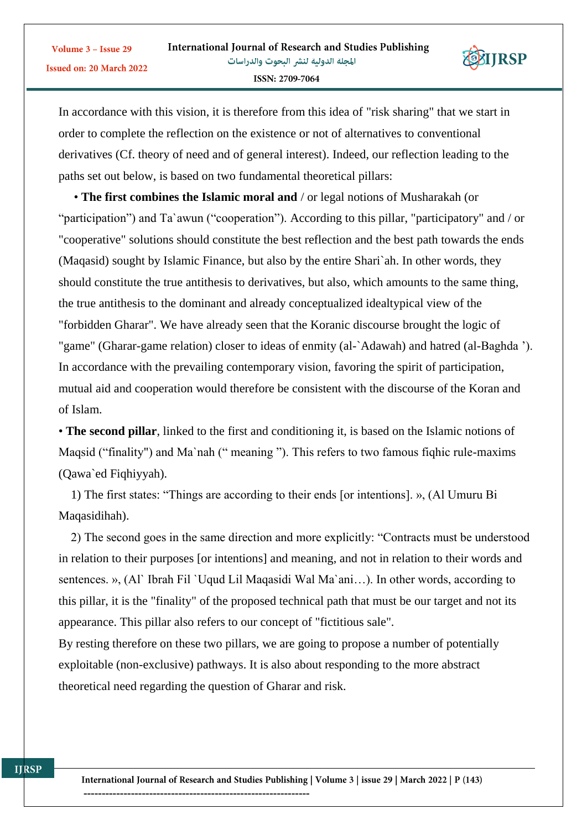

In accordance with this vision, it is therefore from this idea of "risk sharing" that we start in order to complete the reflection on the existence or not of alternatives to conventional derivatives (Cf. theory of need and of general interest). Indeed, our reflection leading to the paths set out below, is based on two fundamental theoretical pillars:

 • **The first combines the Islamic moral and** / or legal notions of Musharakah (or "participation") and Ta`awun ("cooperation"). According to this pillar, "participatory" and / or "cooperative" solutions should constitute the best reflection and the best path towards the ends (Maqasid) sought by Islamic Finance, but also by the entire Shari`ah. In other words, they should constitute the true antithesis to derivatives, but also, which amounts to the same thing, the true antithesis to the dominant and already conceptualized idealtypical view of the "forbidden Gharar". We have already seen that the Koranic discourse brought the logic of "game" (Gharar-game relation) closer to ideas of enmity (al-`Adawah) and hatred (al-Baghda '). In accordance with the prevailing contemporary vision, favoring the spirit of participation, mutual aid and cooperation would therefore be consistent with the discourse of the Koran and of Islam.

• **The second pillar**, linked to the first and conditioning it, is based on the Islamic notions of Maqsid ("finality") and Ma`nah (" meaning "). This refers to two famous fiqhic rule-maxims (Qawa`ed Fiqhiyyah).

 1) The first states: "Things are according to their ends [or intentions]. », (Al Umuru Bi Maqasidihah).

 2) The second goes in the same direction and more explicitly: "Contracts must be understood in relation to their purposes [or intentions] and meaning, and not in relation to their words and sentences. », (Al` Ibrah Fil `Uqud Lil Maqasidi Wal Ma`ani…). In other words, according to this pillar, it is the "finality" of the proposed technical path that must be our target and not its appearance. This pillar also refers to our concept of "fictitious sale".

By resting therefore on these two pillars, we are going to propose a number of potentially exploitable (non-exclusive) pathways. It is also about responding to the more abstract theoretical need regarding the question of Gharar and risk.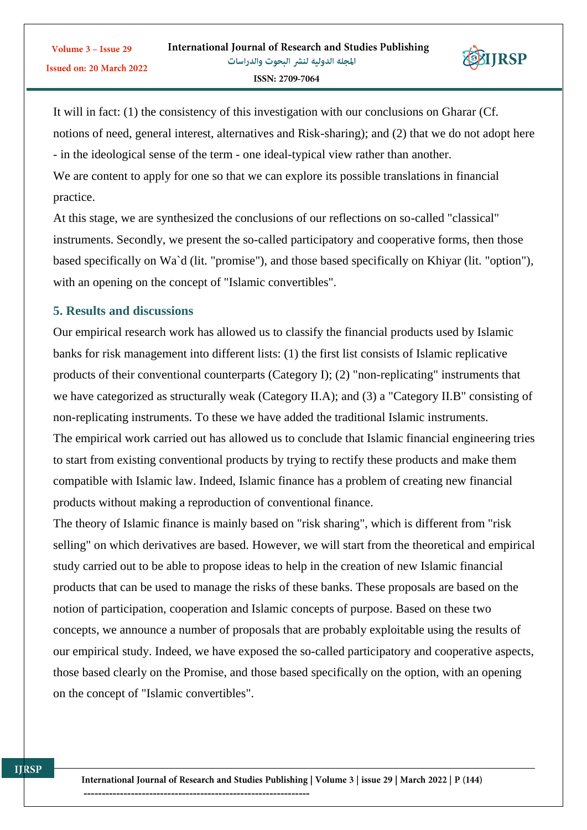

It will in fact: (1) the consistency of this investigation with our conclusions on Gharar (Cf. notions of need, general interest, alternatives and Risk-sharing); and (2) that we do not adopt here - in the ideological sense of the term - one ideal-typical view rather than another. We are content to apply for one so that we can explore its possible translations in financial practice.

At this stage, we are synthesized the conclusions of our reflections on so-called "classical" instruments. Secondly, we present the so-called participatory and cooperative forms, then those based specifically on Wa`d (lit. "promise"), and those based specifically on Khiyar (lit. "option"), with an opening on the concept of "Islamic convertibles".

## **5. Results and discussions**

Our empirical research work has allowed us to classify the financial products used by Islamic banks for risk management into different lists: (1) the first list consists of Islamic replicative products of their conventional counterparts (Category I); (2) "non-replicating" instruments that we have categorized as structurally weak (Category II.A); and (3) a "Category II.B" consisting of non-replicating instruments. To these we have added the traditional Islamic instruments. The empirical work carried out has allowed us to conclude that Islamic financial engineering tries to start from existing conventional products by trying to rectify these products and make them compatible with Islamic law. Indeed, Islamic finance has a problem of creating new financial products without making a reproduction of conventional finance.

The theory of Islamic finance is mainly based on "risk sharing", which is different from "risk selling" on which derivatives are based. However, we will start from the theoretical and empirical study carried out to be able to propose ideas to help in the creation of new Islamic financial products that can be used to manage the risks of these banks. These proposals are based on the notion of participation, cooperation and Islamic concepts of purpose. Based on these two concepts, we announce a number of proposals that are probably exploitable using the results of our empirical study. Indeed, we have exposed the so-called participatory and cooperative aspects, those based clearly on the Promise, and those based specifically on the option, with an opening on the concept of "Islamic convertibles".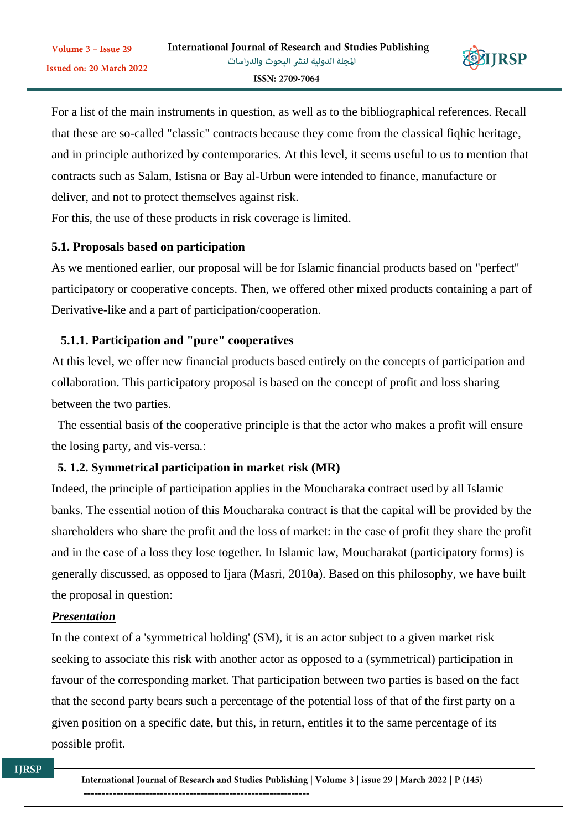

For a list of the main instruments in question, as well as to the bibliographical references. Recall that these are so-called "classic" contracts because they come from the classical fiqhic heritage, and in principle authorized by contemporaries. At this level, it seems useful to us to mention that contracts such as Salam, Istisna or Bay al-Urbun were intended to finance, manufacture or deliver, and not to protect themselves against risk.

For this, the use of these products in risk coverage is limited.

## **5.1. Proposals based on participation**

As we mentioned earlier, our proposal will be for Islamic financial products based on "perfect" participatory or cooperative concepts. Then, we offered other mixed products containing a part of Derivative-like and a part of participation/cooperation.

## **5.1.1. Participation and "pure" cooperatives**

At this level, we offer new financial products based entirely on the concepts of participation and collaboration. This participatory proposal is based on the concept of profit and loss sharing between the two parties.

 The essential basis of the cooperative principle is that the actor who makes a profit will ensure the losing party, and vis-versa.:

## **5. 1.2. Symmetrical participation in market risk (MR)**

Indeed, the principle of participation applies in the Moucharaka contract used by all Islamic banks. The essential notion of this Moucharaka contract is that the capital will be provided by the shareholders who share the profit and the loss of market: in the case of profit they share the profit and in the case of a loss they lose together. In Islamic law, Moucharakat (participatory forms) is generally discussed, as opposed to Ijara (Masri, 2010a). Based on this philosophy, we have built the proposal in question:

## *Presentation*

In the context of a 'symmetrical holding' (SM), it is an actor subject to a given market risk seeking to associate this risk with another actor as opposed to a (symmetrical) participation in favour of the corresponding market. That participation between two parties is based on the fact that the second party bears such a percentage of the potential loss of that of the first party on a given position on a specific date, but this, in return, entitles it to the same percentage of its possible profit.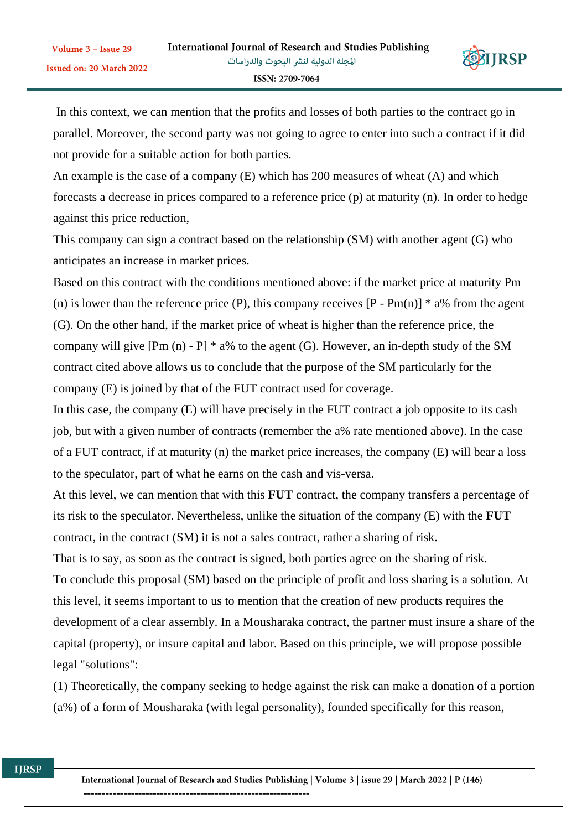

In this context, we can mention that the profits and losses of both parties to the contract go in parallel. Moreover, the second party was not going to agree to enter into such a contract if it did not provide for a suitable action for both parties.

An example is the case of a company (E) which has 200 measures of wheat (A) and which forecasts a decrease in prices compared to a reference price (p) at maturity (n). In order to hedge against this price reduction,

This company can sign a contract based on the relationship (SM) with another agent (G) who anticipates an increase in market prices.

Based on this contract with the conditions mentioned above: if the market price at maturity Pm (n) is lower than the reference price (P), this company receives  $[P - Pm(n)]$  \* a% from the agent (G). On the other hand, if the market price of wheat is higher than the reference price, the company will give  $[{\rm Pm} (n) - {\rm P}]$  \* a% to the agent (G). However, an in-depth study of the SM contract cited above allows us to conclude that the purpose of the SM particularly for the company (E) is joined by that of the FUT contract used for coverage.

In this case, the company (E) will have precisely in the FUT contract a job opposite to its cash job, but with a given number of contracts (remember the a% rate mentioned above). In the case of a FUT contract, if at maturity (n) the market price increases, the company (E) will bear a loss to the speculator, part of what he earns on the cash and vis-versa.

At this level, we can mention that with this **FUT** contract, the company transfers a percentage of its risk to the speculator. Nevertheless, unlike the situation of the company (E) with the **FUT** contract, in the contract (SM) it is not a sales contract, rather a sharing of risk.

That is to say, as soon as the contract is signed, both parties agree on the sharing of risk. To conclude this proposal (SM) based on the principle of profit and loss sharing is a solution. At this level, it seems important to us to mention that the creation of new products requires the development of a clear assembly. In a Mousharaka contract, the partner must insure a share of the capital (property), or insure capital and labor. Based on this principle, we will propose possible legal "solutions":

(1) Theoretically, the company seeking to hedge against the risk can make a donation of a portion (a%) of a form of Mousharaka (with legal personality), founded specifically for this reason,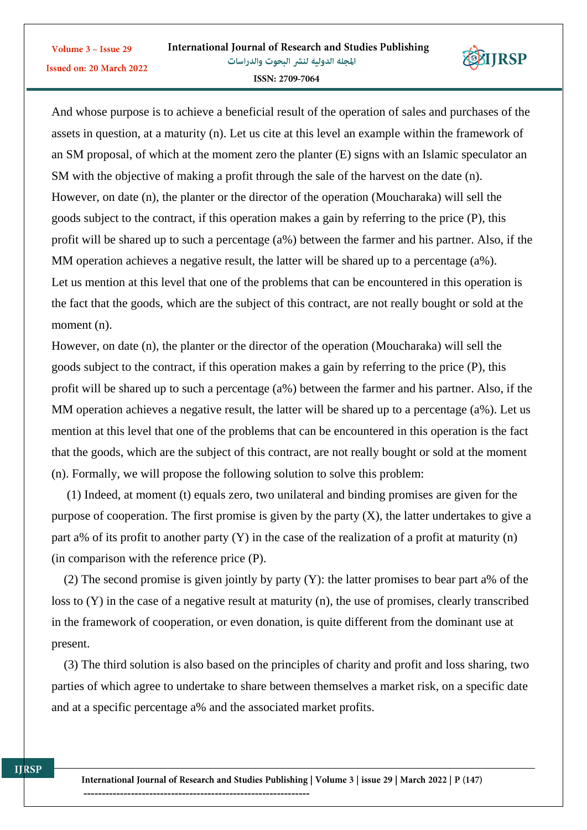

And whose purpose is to achieve a beneficial result of the operation of sales and purchases of the assets in question, at a maturity (n). Let us cite at this level an example within the framework of an SM proposal, of which at the moment zero the planter (E) signs with an Islamic speculator an SM with the objective of making a profit through the sale of the harvest on the date (n). However, on date (n), the planter or the director of the operation (Moucharaka) will sell the goods subject to the contract, if this operation makes a gain by referring to the price (P), this profit will be shared up to such a percentage (a%) between the farmer and his partner. Also, if the MM operation achieves a negative result, the latter will be shared up to a percentage (a%). Let us mention at this level that one of the problems that can be encountered in this operation is the fact that the goods, which are the subject of this contract, are not really bought or sold at the moment (n).

However, on date (n), the planter or the director of the operation (Moucharaka) will sell the goods subject to the contract, if this operation makes a gain by referring to the price (P), this profit will be shared up to such a percentage (a%) between the farmer and his partner. Also, if the MM operation achieves a negative result, the latter will be shared up to a percentage (a%). Let us mention at this level that one of the problems that can be encountered in this operation is the fact that the goods, which are the subject of this contract, are not really bought or sold at the moment (n). Formally, we will propose the following solution to solve this problem:

 (1) Indeed, at moment (t) equals zero, two unilateral and binding promises are given for the purpose of cooperation. The first promise is given by the party  $(X)$ , the latter undertakes to give a part a% of its profit to another party (Y) in the case of the realization of a profit at maturity (n) (in comparison with the reference price (P).

 (2) The second promise is given jointly by party (Y): the latter promises to bear part a% of the loss to (Y) in the case of a negative result at maturity (n), the use of promises, clearly transcribed in the framework of cooperation, or even donation, is quite different from the dominant use at present.

 (3) The third solution is also based on the principles of charity and profit and loss sharing, two parties of which agree to undertake to share between themselves a market risk, on a specific date and at a specific percentage a% and the associated market profits.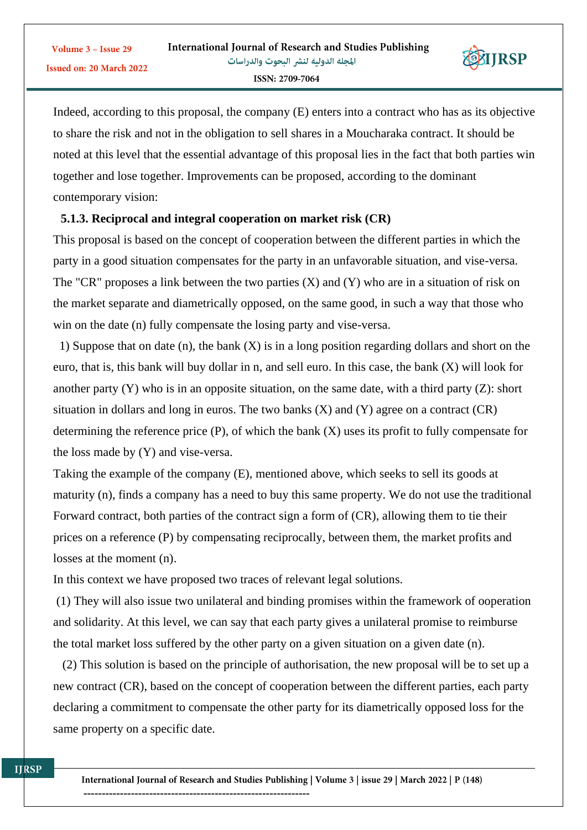

Indeed, according to this proposal, the company (E) enters into a contract who has as its objective to share the risk and not in the obligation to sell shares in a Moucharaka contract. It should be noted at this level that the essential advantage of this proposal lies in the fact that both parties win together and lose together. Improvements can be proposed, according to the dominant contemporary vision:

## **5.1.3. Reciprocal and integral cooperation on market risk (CR)**

This proposal is based on the concept of cooperation between the different parties in which the party in a good situation compensates for the party in an unfavorable situation, and vise-versa. The "CR" proposes a link between the two parties  $(X)$  and  $(Y)$  who are in a situation of risk on the market separate and diametrically opposed, on the same good, in such a way that those who win on the date (n) fully compensate the losing party and vise-versa.

 1) Suppose that on date (n), the bank (X) is in a long position regarding dollars and short on the euro, that is, this bank will buy dollar in n, and sell euro. In this case, the bank (X) will look for another party (Y) who is in an opposite situation, on the same date, with a third party (Z): short situation in dollars and long in euros. The two banks  $(X)$  and  $(Y)$  agree on a contract  $(CR)$ determining the reference price  $(P)$ , of which the bank  $(X)$  uses its profit to fully compensate for the loss made by (Y) and vise-versa.

Taking the example of the company (E), mentioned above, which seeks to sell its goods at maturity (n), finds a company has a need to buy this same property. We do not use the traditional Forward contract, both parties of the contract sign a form of (CR), allowing them to tie their prices on a reference (P) by compensating reciprocally, between them, the market profits and losses at the moment (n).

In this context we have proposed two traces of relevant legal solutions.

(1) They will also issue two unilateral and binding promises within the framework of ooperation and solidarity. At this level, we can say that each party gives a unilateral promise to reimburse the total market loss suffered by the other party on a given situation on a given date (n).

 (2) This solution is based on the principle of authorisation, the new proposal will be to set up a new contract (CR), based on the concept of cooperation between the different parties, each party declaring a commitment to compensate the other party for its diametrically opposed loss for the same property on a specific date.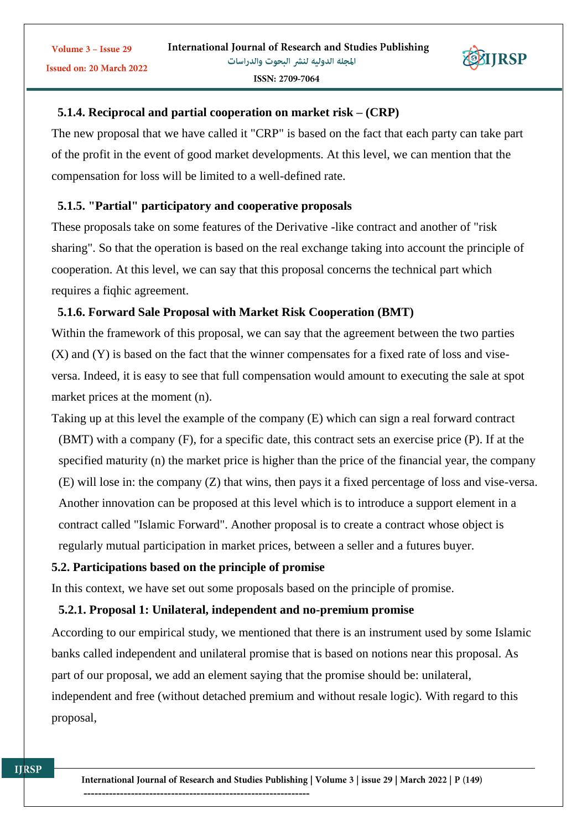

The new proposal that we have called it "CRP" is based on the fact that each party can take part of the profit in the event of good market developments. At this level, we can mention that the compensation for loss will be limited to a well-defined rate.

## **5.1.5. "Partial" participatory and cooperative proposals**

These proposals take on some features of the Derivative -like contract and another of "risk sharing". So that the operation is based on the real exchange taking into account the principle of cooperation. At this level, we can say that this proposal concerns the technical part which requires a fiqhic agreement.

## **5.1.6. Forward Sale Proposal with Market Risk Cooperation (BMT)**

Within the framework of this proposal, we can say that the agreement between the two parties (X) and (Y) is based on the fact that the winner compensates for a fixed rate of loss and viseversa. Indeed, it is easy to see that full compensation would amount to executing the sale at spot market prices at the moment (n).

Taking up at this level the example of the company (E) which can sign a real forward contract (BMT) with a company (F), for a specific date, this contract sets an exercise price (P). If at the specified maturity (n) the market price is higher than the price of the financial year, the company (E) will lose in: the company (Z) that wins, then pays it a fixed percentage of loss and vise-versa. Another innovation can be proposed at this level which is to introduce a support element in a contract called "Islamic Forward". Another proposal is to create a contract whose object is regularly mutual participation in market prices, between a seller and a futures buyer.

### **5.2. Participations based on the principle of promise**

In this context, we have set out some proposals based on the principle of promise.

### **5.2.1. Proposal 1: Unilateral, independent and no-premium promise**

According to our empirical study, we mentioned that there is an instrument used by some Islamic banks called independent and unilateral promise that is based on notions near this proposal. As part of our proposal, we add an element saying that the promise should be: unilateral, independent and free (without detached premium and without resale logic). With regard to this proposal,



Volume 3 - Issue 29 Issued on: 20 March 2022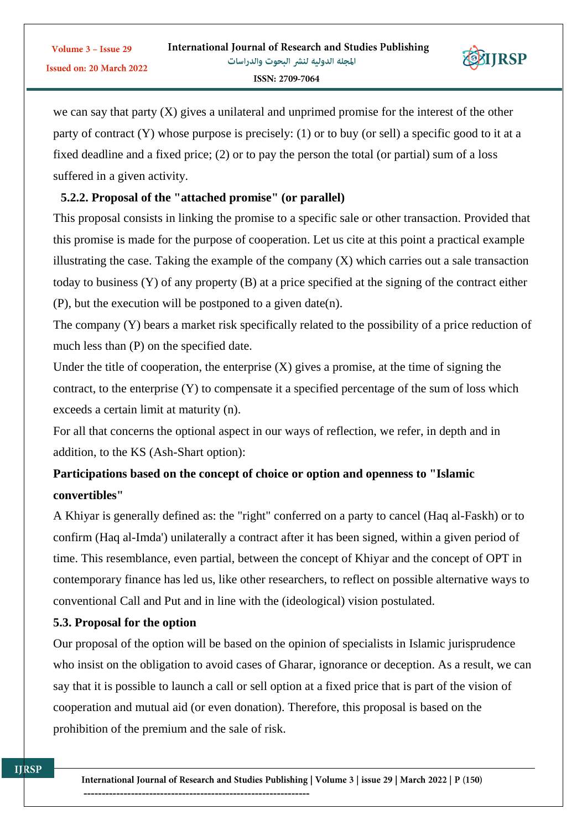

we can say that party (X) gives a unilateral and unprimed promise for the interest of the other party of contract (Y) whose purpose is precisely: (1) or to buy (or sell) a specific good to it at a fixed deadline and a fixed price; (2) or to pay the person the total (or partial) sum of a loss suffered in a given activity.

## **5.2.2. Proposal of the "attached promise" (or parallel)**

This proposal consists in linking the promise to a specific sale or other transaction. Provided that this promise is made for the purpose of cooperation. Let us cite at this point a practical example illustrating the case. Taking the example of the company  $(X)$  which carries out a sale transaction today to business (Y) of any property (B) at a price specified at the signing of the contract either (P), but the execution will be postponed to a given date(n).

The company (Y) bears a market risk specifically related to the possibility of a price reduction of much less than (P) on the specified date.

Under the title of cooperation, the enterprise  $(X)$  gives a promise, at the time of signing the contract, to the enterprise (Y) to compensate it a specified percentage of the sum of loss which exceeds a certain limit at maturity (n).

For all that concerns the optional aspect in our ways of reflection, we refer, in depth and in addition, to the KS (Ash-Shart option):

## **Participations based on the concept of choice or option and openness to "Islamic convertibles"**

A Khiyar is generally defined as: the "right" conferred on a party to cancel (Haq al-Faskh) or to confirm (Haq al-Imda') unilaterally a contract after it has been signed, within a given period of time. This resemblance, even partial, between the concept of Khiyar and the concept of OPT in contemporary finance has led us, like other researchers, to reflect on possible alternative ways to conventional Call and Put and in line with the (ideological) vision postulated.

## **5.3. Proposal for the option**

Our proposal of the option will be based on the opinion of specialists in Islamic jurisprudence who insist on the obligation to avoid cases of Gharar, ignorance or deception. As a result, we can say that it is possible to launch a call or sell option at a fixed price that is part of the vision of cooperation and mutual aid (or even donation). Therefore, this proposal is based on the prohibition of the premium and the sale of risk.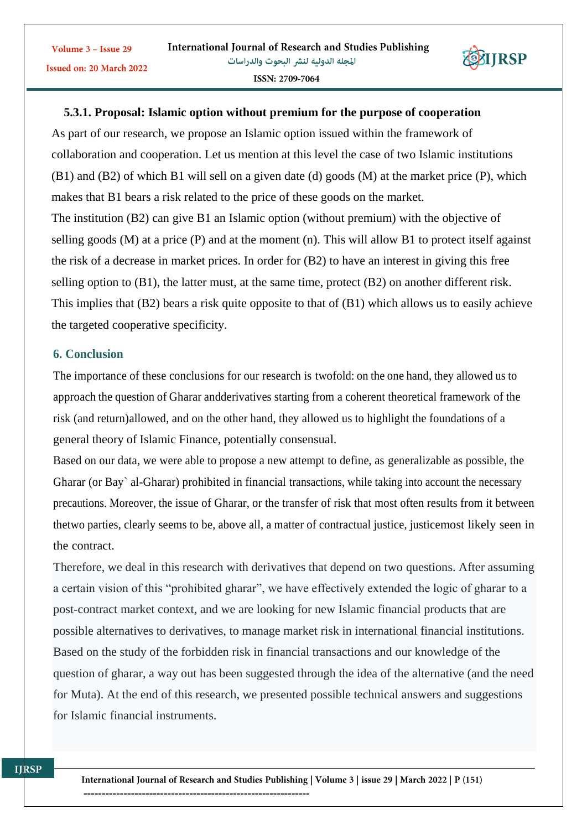

### **5.3.1. Proposal: Islamic option without premium for the purpose of cooperation**

As part of our research, we propose an Islamic option issued within the framework of collaboration and cooperation. Let us mention at this level the case of two Islamic institutions (B1) and (B2) of which B1 will sell on a given date (d) goods (M) at the market price (P), which makes that B1 bears a risk related to the price of these goods on the market. The institution (B2) can give B1 an Islamic option (without premium) with the objective of selling goods (M) at a price (P) and at the moment (n). This will allow B1 to protect itself against the risk of a decrease in market prices. In order for (B2) to have an interest in giving this free selling option to (B1), the latter must, at the same time, protect (B2) on another different risk. This implies that (B2) bears a risk quite opposite to that of (B1) which allows us to easily achieve the targeted cooperative specificity.

## **6. Conclusion**

The importance of these conclusions for our research is twofold: on the one hand, they allowed us to approach the question of Gharar andderivatives starting from a coherent theoretical framework of the risk (and return)allowed, and on the other hand, they allowed us to highlight the foundations of a general theory of Islamic Finance, potentially consensual.

Based on our data, we were able to propose a new attempt to define, as generalizable as possible, the Gharar (or Bay` al-Gharar) prohibited in financial transactions, while taking into account the necessary precautions. Moreover, the issue of Gharar, or the transfer of risk that most often results from it between thetwo parties, clearly seems to be, above all, a matter of contractual justice, justicemost likely seen in the contract.

Therefore, we deal in this research with derivatives that depend on two questions. After assuming a certain vision of this "prohibited gharar", we have effectively extended the logic of gharar to a post-contract market context, and we are looking for new Islamic financial products that are possible alternatives to derivatives, to manage market risk in international financial institutions. Based on the study of the forbidden risk in financial transactions and our knowledge of the question of gharar, a way out has been suggested through the idea of the alternative (and the need for Muta). At the end of this research, we presented possible technical answers and suggestions for Islamic financial instruments.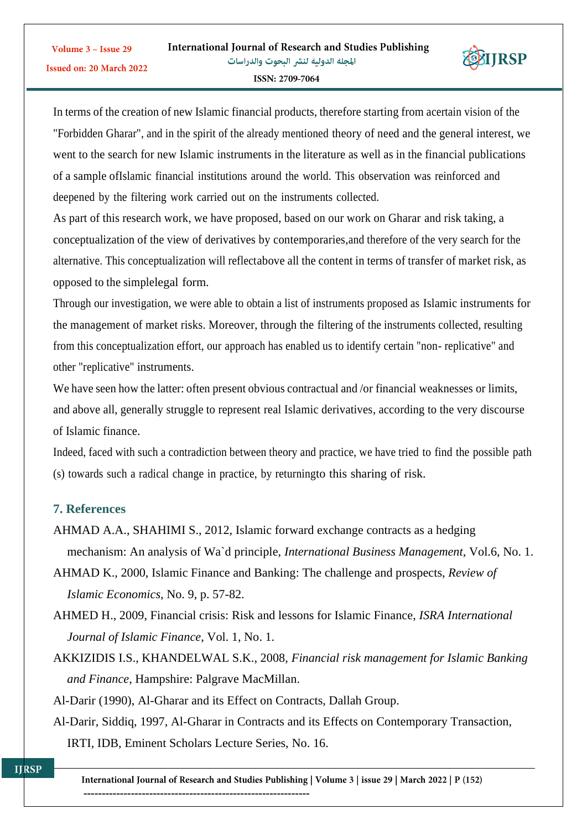

In terms of the creation of new Islamic financial products, therefore starting from acertain vision of the "Forbidden Gharar", and in the spirit of the already mentioned theory of need and the general interest, we went to the search for new Islamic instruments in the literature as well as in the financial publications of a sample ofIslamic financial institutions around the world. This observation was reinforced and deepened by the filtering work carried out on the instruments collected.

As part of this research work, we have proposed, based on our work on Gharar and risk taking, a conceptualization of the view of derivatives by contemporaries,and therefore of the very search for the alternative. This conceptualization will reflectabove all the content in terms of transfer of market risk, as opposed to the simplelegal form.

Through our investigation, we were able to obtain a list of instruments proposed as Islamic instruments for the management of market risks. Moreover, through the filtering of the instruments collected, resulting from this conceptualization effort, our approach has enabled us to identify certain "non- replicative" and other "replicative" instruments.

We have seen how the latter: often present obvious contractual and /or financial weaknesses or limits, and above all, generally struggle to represent real Islamic derivatives, according to the very discourse of Islamic finance.

Indeed, faced with such a contradiction between theory and practice, we have tried to find the possible path (s) towards such a radical change in practice, by returningto this sharing of risk.

## **7. References**

Volume 3 - Issue 29

- AHMAD A.A., SHAHIMI S., 2012, Islamic forward exchange contracts as a hedging mechanism: An analysis of Wa`d principle, *International Business Management*, Vol.6, No. 1.
- AHMAD K., 2000, Islamic Finance and Banking: The challenge and prospects, *Review of Islamic Economics*, No. 9, p. 57-82.
- AHMED H., 2009, Financial crisis: Risk and lessons for Islamic Finance, *ISRA International Journal of Islamic Finance*, Vol. 1, No. 1.
- AKKIZIDIS I.S., KHANDELWAL S.K., 2008, *Financial risk management for Islamic Banking and Finance*, Hampshire: Palgrave MacMillan.
- Al-Darir (1990), Al-Gharar and its Effect on Contracts, Dallah Group.
- Al-Darir, Siddiq, 1997, Al-Gharar in Contracts and its Effects on Contemporary Transaction, IRTI, IDB, Eminent Scholars Lecture Series, No. 16.